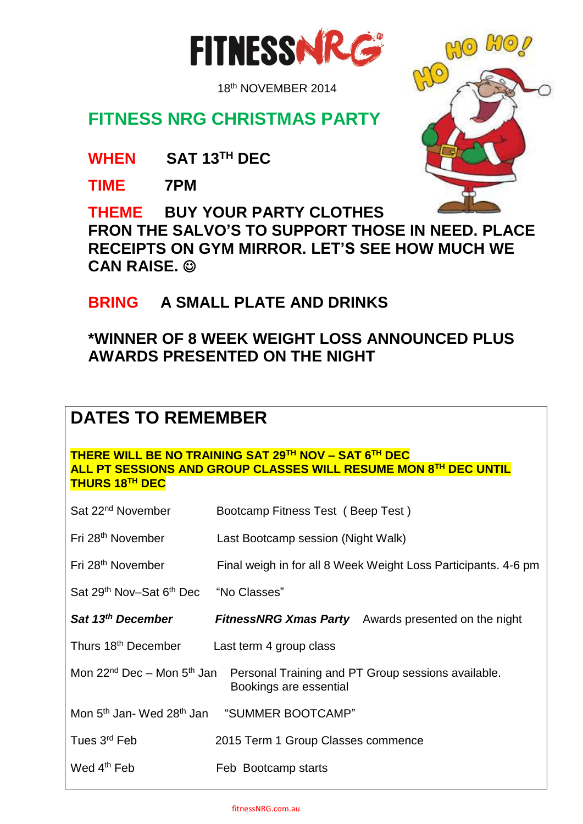

18th NOVEMBER 2014

## **FITNESS NRG CHRISTMAS PARTY**

**WHEN SAT 13TH DEC**

**TIME 7PM**

**THEME BUY YOUR PARTY CLOTHES FRON THE SALVO'S TO SUPPORT THOSE IN NEED. PLACE RECEIPTS ON GYM MIRROR. LET'S SEE HOW MUCH WE CAN RAISE.** 

## **BRING A SMALL PLATE AND DRINKS**

### **\*WINNER OF 8 WEEK WEIGHT LOSS ANNOUNCED PLUS AWARDS PRESENTED ON THE NIGHT**

# **DATES TO REMEMBER**

**THERE WILL BE NO TRAINING SAT 29TH NOV – SAT 6 TH DEC ALL PT SESSIONS AND GROUP CLASSES WILL RESUME MON 8TH DEC UNTIL THURS 18TH DEC**

| Sat 22 <sup>nd</sup> November                     | Bootcamp Fitness Test (Beep Test)                                                                                               |
|---------------------------------------------------|---------------------------------------------------------------------------------------------------------------------------------|
| Fri 28 <sup>th</sup> November                     | Last Bootcamp session (Night Walk)                                                                                              |
| Fri 28 <sup>th</sup> November                     | Final weigh in for all 8 Week Weight Loss Participants. 4-6 pm                                                                  |
| Sat 29 <sup>th</sup> Nov-Sat 6 <sup>th</sup> Dec  | "No Classes"                                                                                                                    |
| Sat 13 <sup>th</sup> December                     | <b>FitnessNRG Xmas Party</b> Awards presented on the night                                                                      |
| Thurs 18 <sup>th</sup> December                   | Last term 4 group class                                                                                                         |
|                                                   | Mon 22 <sup>nd</sup> Dec - Mon 5 <sup>th</sup> Jan Personal Training and PT Group sessions available.<br>Bookings are essential |
| Mon 5 <sup>th</sup> Jan- Wed 28 <sup>th</sup> Jan | "SUMMER BOOTCAMP"                                                                                                               |
| Tues 3 <sup>rd</sup> Feb                          | 2015 Term 1 Group Classes commence                                                                                              |
| Wed $4th$ Feb                                     | Feb Bootcamp starts                                                                                                             |

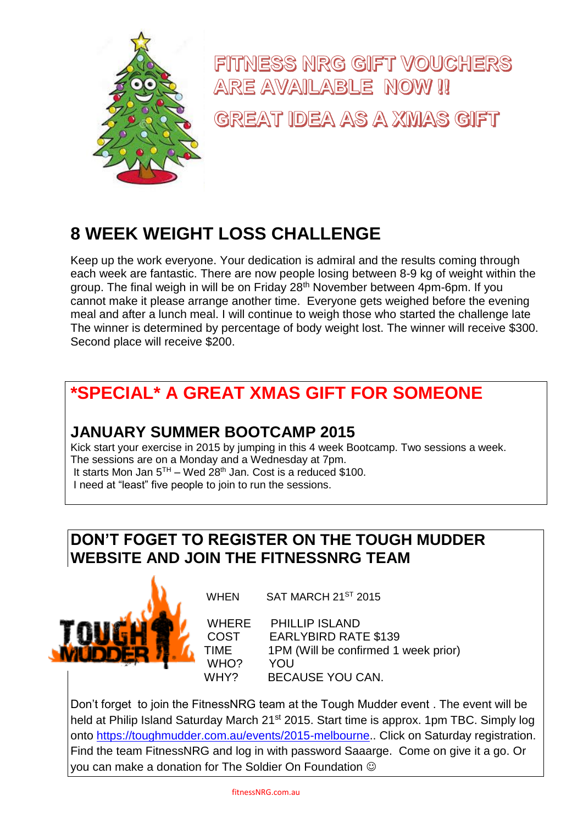

FITNESS NRG GIFT VOUCHERS ARE AVAILABLE NOW !! GREAT IDEA AS A XMAS GIFT

# **8 WEEK WEIGHT LOSS CHALLENGE**

Keep up the work everyone. Your dedication is admiral and the results coming through each week are fantastic. There are now people losing between 8-9 kg of weight within the group. The final weigh in will be on Friday 28th November between 4pm-6pm. If you cannot make it please arrange another time. Everyone gets weighed before the evening meal and after a lunch meal. I will continue to weigh those who started the challenge late The winner is determined by percentage of body weight lost. The winner will receive \$300. Second place will receive \$200.

# **\*SPECIAL\* A GREAT XMAS GIFT FOR SOMEONE**

### **JANUARY SUMMER BOOTCAMP 2015**

Kick start your exercise in 2015 by jumping in this 4 week Bootcamp. Two sessions a week. The sessions are on a Monday and a Wednesday at 7pm. It starts Mon Jan 5<sup>TH</sup> – Wed 28<sup>th</sup> Jan. Cost is a reduced \$100. I need at "least" five people to join to run the sessions.

### **DON'T FOGET TO REGISTER ON THE TOUGH MUDDER WEBSITE AND JOIN THE FITNESSNRG TEAM**



WHEN SAT MARCH 21<sup>ST</sup> 2015

WHERE PHILLIP ISLAND COST EARLYBIRD RATE \$139 TIME 1PM (Will be confirmed 1 week prior) WHO? YOU WHY? BECAUSE YOU CAN.

Don't forget to join the FitnessNRG team at the Tough Mudder event . The event will be held at Philip Island Saturday March 21<sup>st</sup> 2015. Start time is approx. 1pm TBC. Simply log onto [https://toughmudder.com.au/events/2015-melbourne.](https://toughmudder.com.au/events/2015-melbourne). Click on Saturday registration. Find the team FitnessNRG and log in with password Saaarge. Come on give it a go. Or you can make a donation for The Soldier On Foundation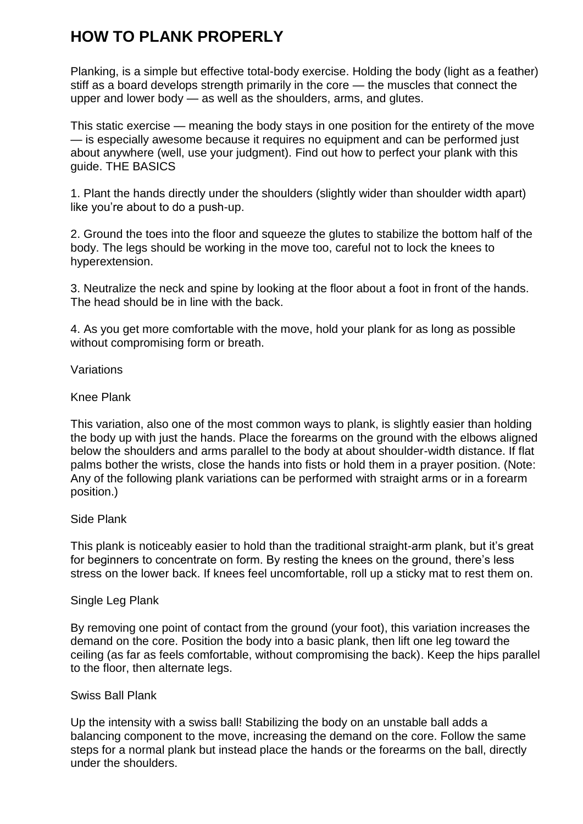# **HOW TO PLANK PROPERLY**

Planking, is a simple but effective total-body exercise. Holding the body (light as a feather) stiff as a board develops strength primarily in the core — the muscles that connect the upper and lower body — as well as the shoulders, arms, and glutes.

This static exercise — meaning the body stays in one position for the entirety of the move — is especially awesome because it requires no equipment and can be performed just about anywhere (well, use your judgment). Find out how to perfect your plank with this guide. THE BASICS

1. Plant the hands directly under the shoulders (slightly wider than shoulder width apart) like you're about to do a push-up.

2. Ground the toes into the floor and squeeze the glutes to stabilize the bottom half of the body. The legs should be working in the move too, careful not to lock the knees to hyperextension.

3. Neutralize the neck and spine by looking at the floor about a foot in front of the hands. The head should be in line with the back.

4. As you get more comfortable with the move, hold your plank for as long as possible without compromising form or breath.

Variations

Knee Plank

This variation, also one of the most common ways to plank, is slightly easier than holding the body up with just the hands. Place the forearms on the ground with the elbows aligned below the shoulders and arms parallel to the body at about shoulder-width distance. If flat palms bother the wrists, close the hands into fists or hold them in a prayer position. (Note: Any of the following plank variations can be performed with straight arms or in a forearm position.)

Side Plank

This plank is noticeably easier to hold than the traditional straight-arm plank, but it's great for beginners to concentrate on form. By resting the knees on the ground, there's less stress on the lower back. If knees feel uncomfortable, roll up a sticky mat to rest them on.

Single Leg Plank

By removing one point of contact from the ground (your foot), this variation increases the demand on the core. Position the body into a basic plank, then lift one leg toward the ceiling (as far as feels comfortable, without compromising the back). Keep the hips parallel to the floor, then alternate legs.

#### Swiss Ball Plank

Up the intensity with a swiss ball! Stabilizing the body on an unstable ball adds a balancing component to the move, increasing the demand on the core. Follow the same steps for a normal plank but instead place the hands or the forearms on the ball, directly under the shoulders.